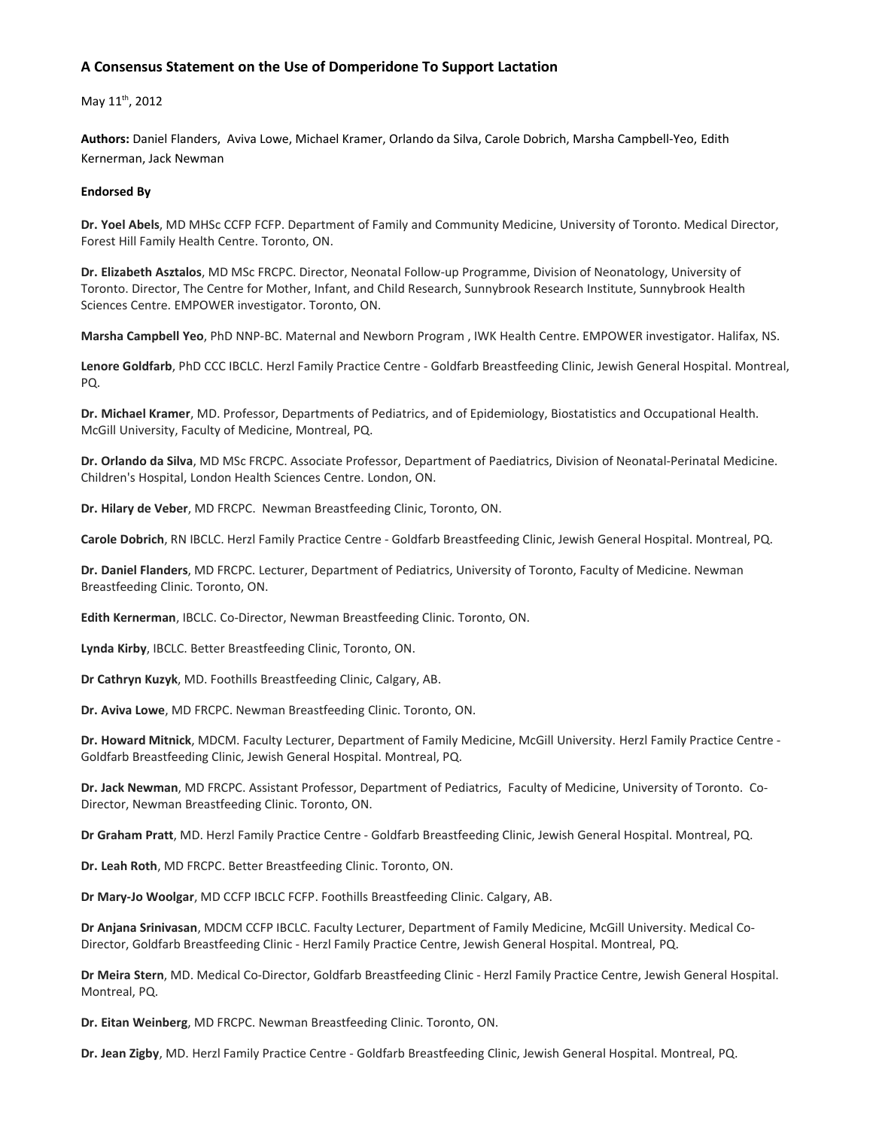#### A Consensus Statement on the Use of Domperidone To Support Lactation

May 11<sup>th</sup>, 2012

Authors: Daniel Flanders, Aviva Lowe, Michael Kramer, Orlando da Silva, Carole Dobrich, Marsha Campbell-Yeo, Edith Kernerman, Jack Newman

#### **Endorsed By**

Dr. Yoel Abels, MD MHSc CCFP FCFP. Department of Family and Community Medicine, University of Toronto. Medical Director, Forest Hill Family Health Centre. Toronto, ON.

Dr. Elizabeth Asztalos, MD MSc FRCPC. Director, Neonatal Follow-up Programme, Division of Neonatology, University of Toronto. Director, The Centre for Mother, Infant, and Child Research, Sunnybrook Research Institute, Sunnybrook Health Sciences Centre. EMPOWER investigator. Toronto, ON.

Marsha Campbell Yeo, PhD NNP-BC. Maternal and Newborn Program, IWK Health Centre. EMPOWER investigator. Halifax, NS.

Lenore Goldfarb, PhD CCC IBCLC. Herzl Family Practice Centre - Goldfarb Breastfeeding Clinic, Jewish General Hospital. Montreal, PQ.

Dr. Michael Kramer, MD. Professor, Departments of Pediatrics, and of Epidemiology, Biostatistics and Occupational Health. McGill University, Faculty of Medicine, Montreal, PQ.

Dr. Orlando da Silva, MD MSc FRCPC. Associate Professor, Department of Paediatrics, Division of Neonatal-Perinatal Medicine. Children's Hospital, London Health Sciences Centre. London, ON.

Dr. Hilary de Veber, MD FRCPC. Newman Breastfeeding Clinic, Toronto, ON.

Carole Dobrich, RN IBCLC. Herzl Family Practice Centre - Goldfarb Breastfeeding Clinic, Jewish General Hospital. Montreal, PQ.

Dr. Daniel Flanders, MD FRCPC. Lecturer, Department of Pediatrics, University of Toronto, Faculty of Medicine. Newman Breastfeeding Clinic. Toronto, ON.

Edith Kernerman, IBCLC. Co-Director, Newman Breastfeeding Clinic. Toronto, ON.

Lynda Kirby, IBCLC. Better Breastfeeding Clinic, Toronto, ON.

Dr Cathryn Kuzyk, MD. Foothills Breastfeeding Clinic, Calgary, AB.

Dr. Aviva Lowe, MD FRCPC. Newman Breastfeeding Clinic. Toronto, ON.

Dr. Howard Mitnick, MDCM. Faculty Lecturer, Department of Family Medicine, McGill University. Herzl Family Practice Centre -Goldfarb Breastfeeding Clinic, Jewish General Hospital. Montreal, PQ.

Dr. Jack Newman, MD FRCPC. Assistant Professor, Department of Pediatrics, Faculty of Medicine, University of Toronto. Co-Director, Newman Breastfeeding Clinic. Toronto, ON.

Dr Graham Pratt, MD. Herzl Family Practice Centre - Goldfarb Breastfeeding Clinic, Jewish General Hospital. Montreal, PQ.

Dr. Leah Roth, MD FRCPC. Better Breastfeeding Clinic. Toronto, ON.

Dr Mary-Jo Woolgar, MD CCFP IBCLC FCFP. Foothills Breastfeeding Clinic. Calgary, AB.

Dr Anjana Srinivasan, MDCM CCFP IBCLC. Faculty Lecturer, Department of Family Medicine, McGill University. Medical Co-Director, Goldfarb Breastfeeding Clinic - Herzl Family Practice Centre, Jewish General Hospital. Montreal, PQ.

Dr Meira Stern, MD. Medical Co-Director, Goldfarb Breastfeeding Clinic - Herzl Family Practice Centre, Jewish General Hospital. Montreal, PQ.

Dr. Eitan Weinberg, MD FRCPC. Newman Breastfeeding Clinic. Toronto, ON.

Dr. Jean Zigby, MD. Herzl Family Practice Centre - Goldfarb Breastfeeding Clinic, Jewish General Hospital. Montreal, PQ.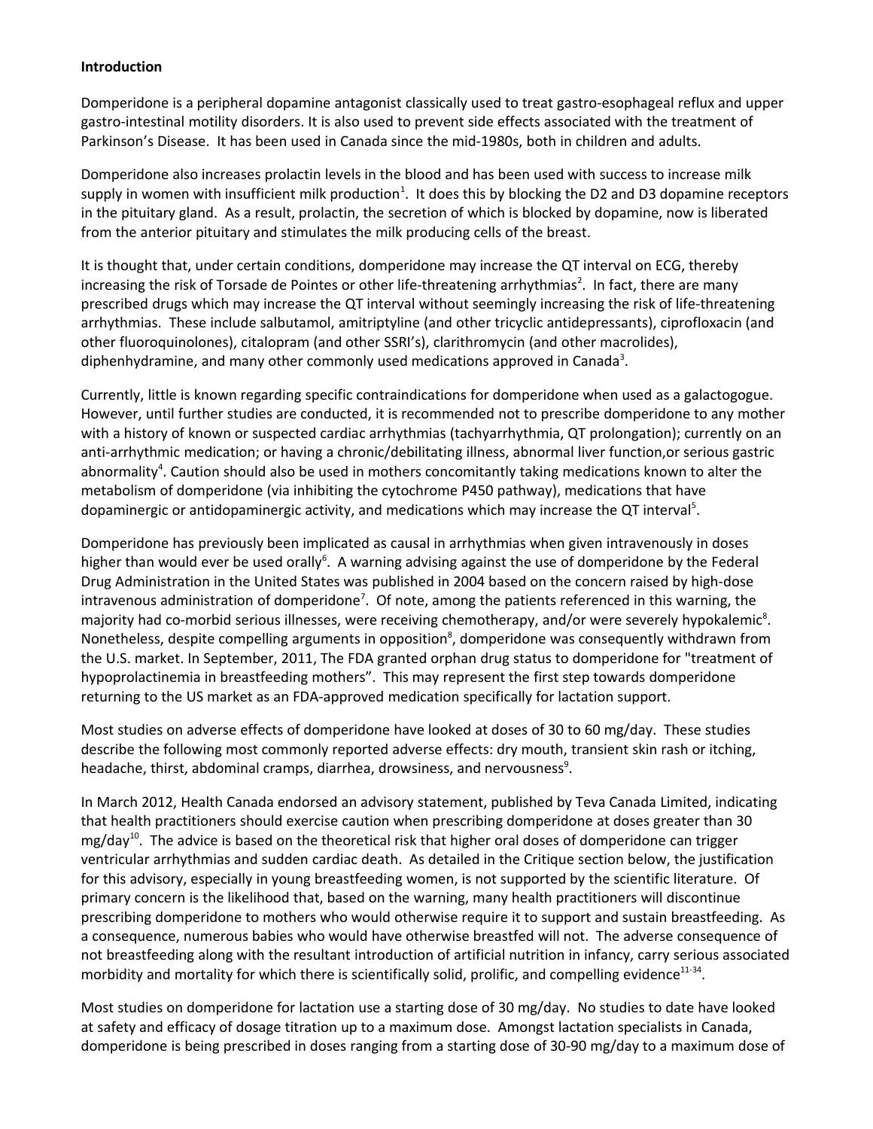## **Introduction**

Domperidone is a peripheral dopamine antagonist classically used to treat gastro-esophageal reflux and upper gastro-intestinal motility disorders. It is also used to prevent side effects associated with the treatment of Parkinson's Disease. It has been used in Canada since the mid-1980s, both in children and adults.

Domperidone also increases prolactin levels in the blood and has been used with success to increase milk supply in women with insufficient milk production<sup>1</sup>. It does this by blocking the D2 and D3 dopamine receptors in the pituitary gland. As a result, prolactin, the secretion of which is blocked by dopamine, now is liberated from the anterior pituitary and stimulates the milk producing cells of the breast.

It is thought that, under certain conditions, domperidone may increase the QT interval on ECG, thereby increasing the risk of Torsade de Pointes or other life-threatening arrhythmias<sup>2</sup>. In fact, there are many prescribed drugs which may increase the QT interval without seemingly increasing the risk of life-threatening arrhythmias. These include salbutamol, amitriptyline (and other tricyclic antidepressants), ciprofloxacin (and other fluoroquinolones), citalopram (and other SSRI's), clarithromycin (and other macrolides), diphenhydramine, and many other commonly used medications approved in Canada<sup>3</sup>.

Currently, little is known regarding specific contraindications for domperidone when used as a galactogogue. However, until further studies are conducted, it is recommended not to prescribe domperidone to any mother with a history of known or suspected cardiac arrhythmias (tachyarrhythmia, QT prolongation); currently on an anti-arrhythmic medication; or having a chronic/debilitating illness, abnormal liver function, or serious gastric abnormality<sup>4</sup>. Caution should also be used in mothers concomitantly taking medications known to alter the metabolism of domperidone (via inhibiting the cytochrome P450 pathway), medications that have dopaminergic or antidopaminergic activity, and medications which may increase the  $QT$  interval<sup>5</sup>.

Domperidone has previously been implicated as causal in arrhythmias when given intravenously in doses higher than would ever be used orally<sup>6</sup>. A warning advising against the use of domperidone by the Federal Drug Administration in the United States was published in 2004 based on the concern raised by high-dose intravenous administration of domperidone<sup>7</sup>. Of note, among the patients referenced in this warning, the majority had co-morbid serious illnesses, were receiving chemotherapy, and/or were severely hypokalemic<sup>8</sup>. Nonetheless, despite compelling arguments in opposition<sup>8</sup>, domperidone was consequently withdrawn from the U.S. market. In September, 2011, The FDA granted orphan drug status to domperidone for "treatment of hypoprolactinemia in breastfeeding mothers". This may represent the first step towards domperidone returning to the US market as an FDA-approved medication specifically for lactation support.

Most studies on adverse effects of domperidone have looked at doses of 30 to 60 mg/day. These studies describe the following most commonly reported adverse effects: dry mouth, transient skin rash or itching, headache, thirst, abdominal cramps, diarrhea, drowsiness, and nervousness<sup>9</sup>.

In March 2012, Health Canada endorsed an advisory statement, published by Teva Canada Limited, indicating that health practitioners should exercise caution when prescribing domperidone at doses greater than 30  $mg$ /day<sup>10</sup>. The advice is based on the theoretical risk that higher oral doses of domperidone can trigger ventricular arrhythmias and sudden cardiac death. As detailed in the Critique section below, the justification for this advisory, especially in young breastfeeding women, is not supported by the scientific literature. Of primary concern is the likelihood that, based on the warning, many health practitioners will discontinue prescribing domperidone to mothers who would otherwise require it to support and sustain breastfeeding. As a consequence, numerous babies who would have otherwise breastfed will not. The adverse consequence of not breastfeeding along with the resultant introduction of artificial nutrition in infancy, carry serious associated morbidity and mortality for which there is scientifically solid, prolific, and compelling evidence<sup>11-34</sup>.

Most studies on domperidone for lactation use a starting dose of 30 mg/day. No studies to date have looked at safety and efficacy of dosage titration up to a maximum dose. Amongst lactation specialists in Canada, domperidone is being prescribed in doses ranging from a starting dose of 30-90 mg/day to a maximum dose of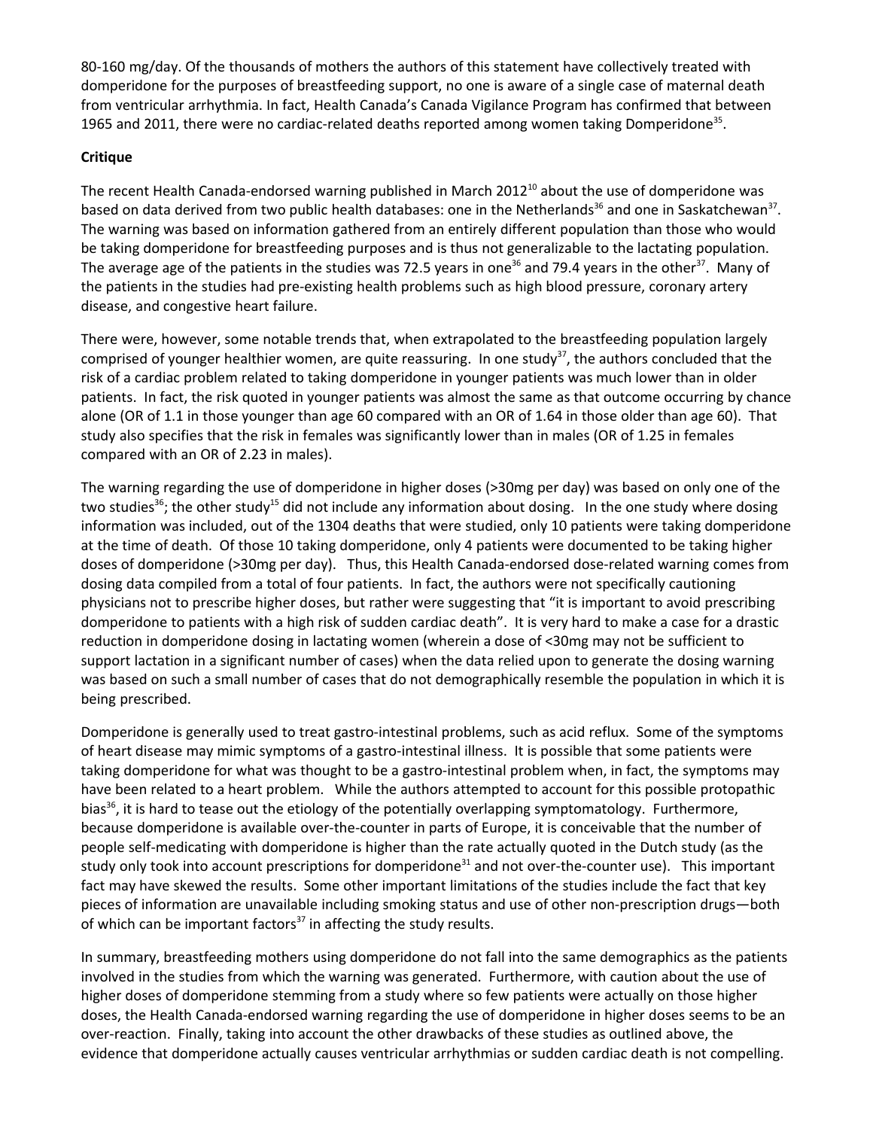80-160 mg/day. Of the thousands of mothers the authors of this statement have collectively treated with domperidone for the purposes of breastfeeding support, no one is aware of a single case of maternal death from ventricular arrhythmia. In fact, Health Canada's Canada Vigilance Program has confirmed that between 1965 and 2011, there were no cardiac-related deaths reported among women taking Domperidone<sup>35</sup>.

## **Critique**

The recent Health Canada-endorsed warning published in March 2012<sup>10</sup> about the use of domperidone was based on data derived from two public health databases: one in the Netherlands<sup>36</sup> and one in Saskatchewan<sup>37</sup>. The warning was based on information gathered from an entirely different population than those who would be taking domperidone for breastfeeding purposes and is thus not generalizable to the lactating population. The average age of the patients in the studies was 72.5 years in one<sup>36</sup> and 79.4 years in the other<sup>37</sup>. Many of the patients in the studies had pre-existing health problems such as high blood pressure, coronary artery disease, and congestive heart failure.

There were, however, some notable trends that, when extrapolated to the breastfeeding population largely comprised of younger healthier women, are quite reassuring. In one study<sup>37</sup>, the authors concluded that the risk of a cardiac problem related to taking domperidone in younger patients was much lower than in older patients. In fact, the risk quoted in younger patients was almost the same as that outcome occurring by chance alone (OR of 1.1 in those younger than age 60 compared with an OR of 1.64 in those older than age 60). That study also specifies that the risk in females was significantly lower than in males (OR of 1.25 in females compared with an OR of 2.23 in males).

The warning regarding the use of domperidone in higher doses (>30mg per day) was based on only one of the two studies<sup>36</sup>; the other study<sup>15</sup> did not include any information about dosing. In the one study where dosing information was included, out of the 1304 deaths that were studied, only 10 patients were taking domperidone at the time of death. Of those 10 taking domperidone, only 4 patients were documented to be taking higher doses of domperidone (>30mg per day). Thus, this Health Canada-endorsed dose-related warning comes from dosing data compiled from a total of four patients. In fact, the authors were not specifically cautioning physicians not to prescribe higher doses, but rather were suggesting that "it is important to avoid prescribing domperidone to patients with a high risk of sudden cardiac death". It is very hard to make a case for a drastic reduction in domperidone dosing in lactating women (wherein a dose of <30mg may not be sufficient to support lactation in a significant number of cases) when the data relied upon to generate the dosing warning was based on such a small number of cases that do not demographically resemble the population in which it is being prescribed.

Domperidone is generally used to treat gastro-intestinal problems, such as acid reflux. Some of the symptoms of heart disease may mimic symptoms of a gastro-intestinal illness. It is possible that some patients were taking domperidone for what was thought to be a gastro-intestinal problem when, in fact, the symptoms may have been related to a heart problem. While the authors attempted to account for this possible protopathic bias<sup>36</sup>, it is hard to tease out the etiology of the potentially overlapping symptomatology. Furthermore, because domperidone is available over-the-counter in parts of Europe, it is conceivable that the number of people self-medicating with domperidone is higher than the rate actually quoted in the Dutch study (as the study only took into account prescriptions for domperidone<sup>31</sup> and not over-the-counter use). This important fact may have skewed the results. Some other important limitations of the studies include the fact that key pieces of information are unavailable including smoking status and use of other non-prescription drugs-both of which can be important factors<sup>37</sup> in affecting the study results.

In summary, breastfeeding mothers using domperidone do not fall into the same demographics as the patients involved in the studies from which the warning was generated. Furthermore, with caution about the use of higher doses of domperidone stemming from a study where so few patients were actually on those higher doses, the Health Canada-endorsed warning regarding the use of domperidone in higher doses seems to be an over-reaction. Finally, taking into account the other drawbacks of these studies as outlined above, the evidence that domperidone actually causes ventricular arrhythmias or sudden cardiac death is not compelling.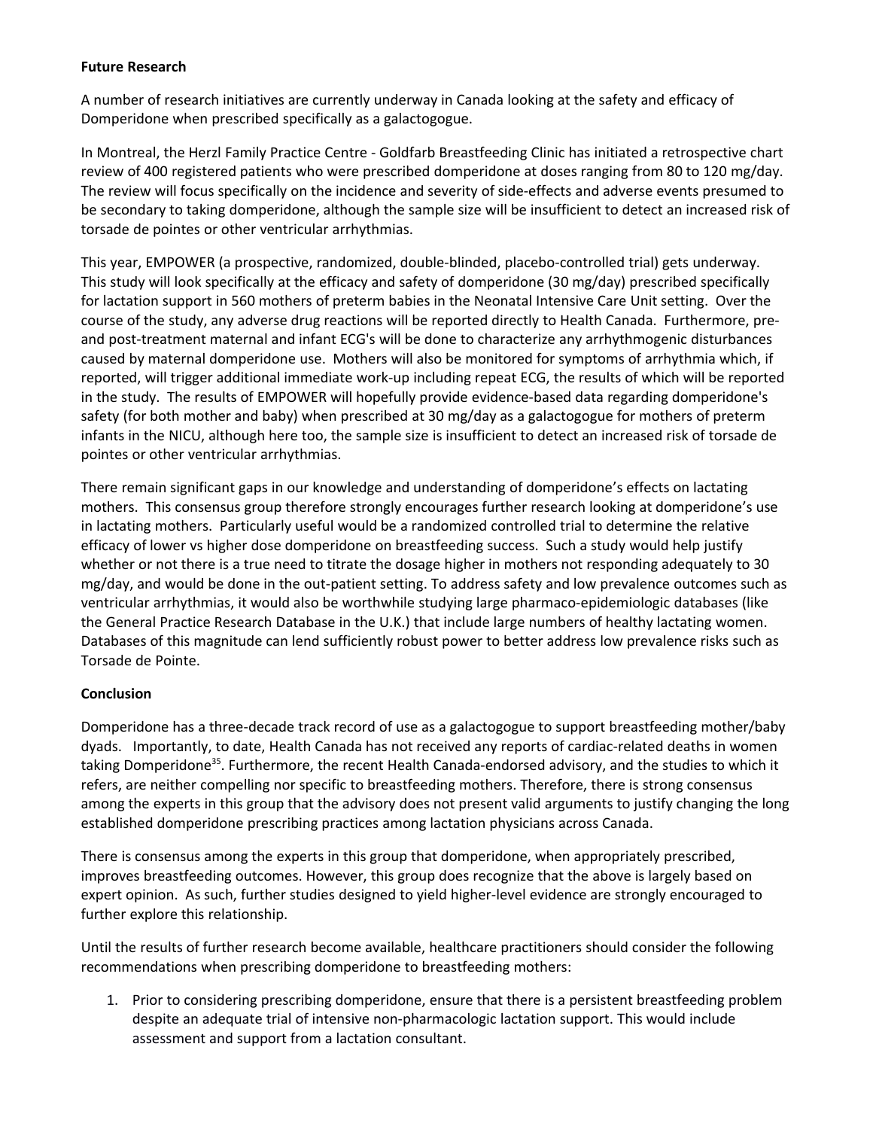## **Future Research**

A number of research initiatives are currently underway in Canada looking at the safety and efficacy of Domperidone when prescribed specifically as a galactogogue.

In Montreal, the Herzl Family Practice Centre - Goldfarb Breastfeeding Clinic has initiated a retrospective chart review of 400 registered patients who were prescribed domperidone at doses ranging from 80 to 120 mg/day. The review will focus specifically on the incidence and severity of side-effects and adverse events presumed to be secondary to taking domperidone, although the sample size will be insufficient to detect an increased risk of torsade de pointes or other ventricular arrhythmias.

This year, EMPOWER (a prospective, randomized, double-blinded, placebo-controlled trial) gets underway. This study will look specifically at the efficacy and safety of domperidone (30 mg/day) prescribed specifically for lactation support in 560 mothers of preterm babies in the Neonatal Intensive Care Unit setting. Over the course of the study, any adverse drug reactions will be reported directly to Health Canada. Furthermore, preand post-treatment maternal and infant ECG's will be done to characterize any arrhythmogenic disturbances caused by maternal domperidone use. Mothers will also be monitored for symptoms of arrhythmia which, if reported, will trigger additional immediate work-up including repeat ECG, the results of which will be reported in the study. The results of EMPOWER will hopefully provide evidence-based data regarding domperidone's safety (for both mother and baby) when prescribed at 30 mg/day as a galactogogue for mothers of preterm infants in the NICU, although here too, the sample size is insufficient to detect an increased risk of torsade de pointes or other ventricular arrhythmias.

There remain significant gaps in our knowledge and understanding of domperidone's effects on lactating mothers. This consensus group therefore strongly encourages further research looking at domperidone's use in lactating mothers. Particularly useful would be a randomized controlled trial to determine the relative efficacy of lower vs higher dose domperidone on breastfeeding success. Such a study would help justify whether or not there is a true need to titrate the dosage higher in mothers not responding adequately to 30 mg/day, and would be done in the out-patient setting. To address safety and low prevalence outcomes such as ventricular arrhythmias, it would also be worthwhile studying large pharmaco-epidemiologic databases (like the General Practice Research Database in the U.K.) that include large numbers of healthy lactating women. Databases of this magnitude can lend sufficiently robust power to better address low prevalence risks such as Torsade de Pointe.

# **Conclusion**

Domperidone has a three-decade track record of use as a galactogogue to support breastfeeding mother/baby dyads. Importantly, to date, Health Canada has not received any reports of cardiac-related deaths in women taking Domperidone<sup>35</sup>. Furthermore, the recent Health Canada-endorsed advisory, and the studies to which it refers, are neither compelling nor specific to breastfeeding mothers. Therefore, there is strong consensus among the experts in this group that the advisory does not present valid arguments to justify changing the long established domperidone prescribing practices among lactation physicians across Canada.

There is consensus among the experts in this group that domperidone, when appropriately prescribed, improves breastfeeding outcomes. However, this group does recognize that the above is largely based on expert opinion. As such, further studies designed to yield higher-level evidence are strongly encouraged to further explore this relationship.

Until the results of further research become available, healthcare practitioners should consider the following recommendations when prescribing domperidone to breastfeeding mothers:

1. Prior to considering prescribing domperidone, ensure that there is a persistent breastfeeding problem despite an adequate trial of intensive non-pharmacologic lactation support. This would include assessment and support from a lactation consultant.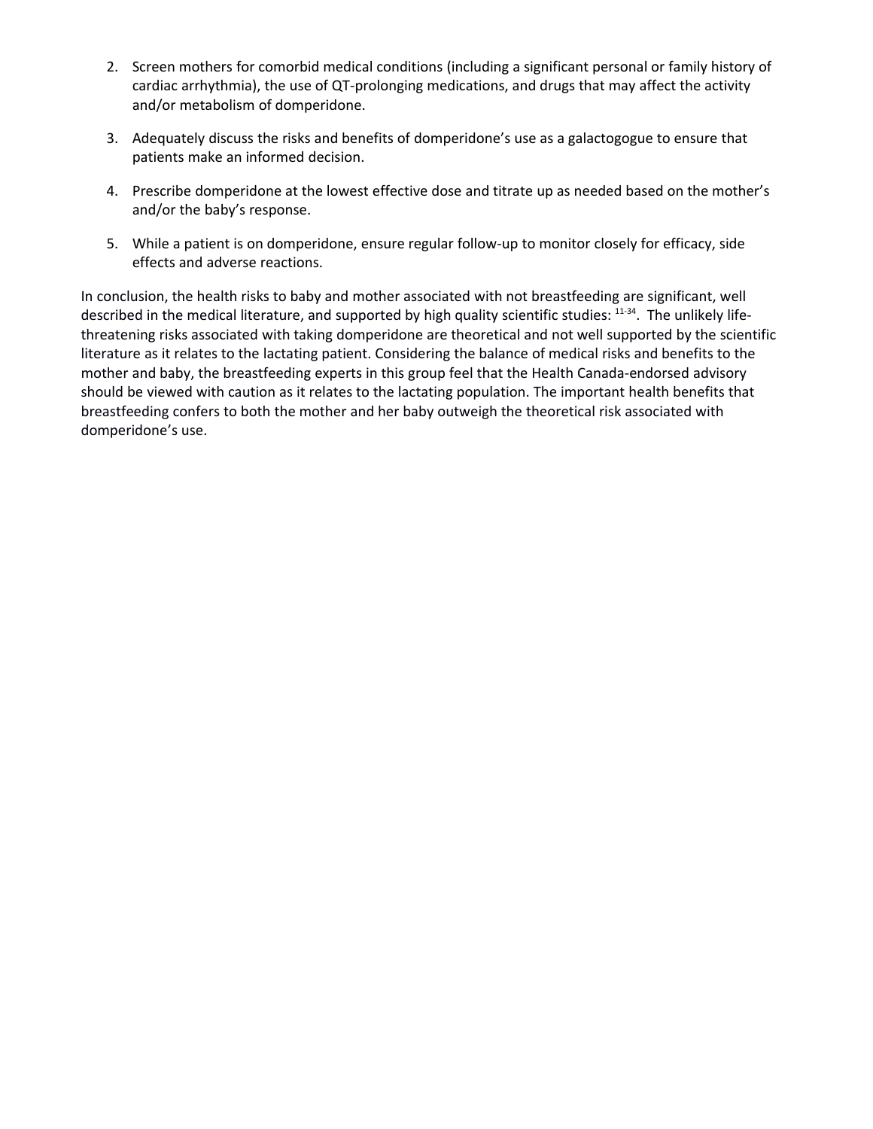- 2. Screen mothers for comorbid medical conditions (including a significant personal or family history of cardiac arrhythmia), the use of QT-prolonging medications, and drugs that may affect the activity and/or metabolism of domperidone.
- 3. Adequately discuss the risks and benefits of domperidone's use as a galactogogue to ensure that patients make an informed decision.
- 4. Prescribe domperidone at the lowest effective dose and titrate up as needed based on the mother's and/or the baby's response.
- 5. While a patient is on domperidone, ensure regular follow-up to monitor closely for efficacy, side effects and adverse reactions.

In conclusion, the health risks to baby and mother associated with not breastfeeding are significant, well described in the medical literature, and supported by high quality scientific studies: 11-34. The unlikely lifethreatening risks associated with taking domperidone are theoretical and not well supported by the scientific literature as it relates to the lactating patient. Considering the balance of medical risks and benefits to the mother and baby, the breastfeeding experts in this group feel that the Health Canada-endorsed advisory should be viewed with caution as it relates to the lactating population. The important health benefits that breastfeeding confers to both the mother and her baby outweigh the theoretical risk associated with domperidone's use.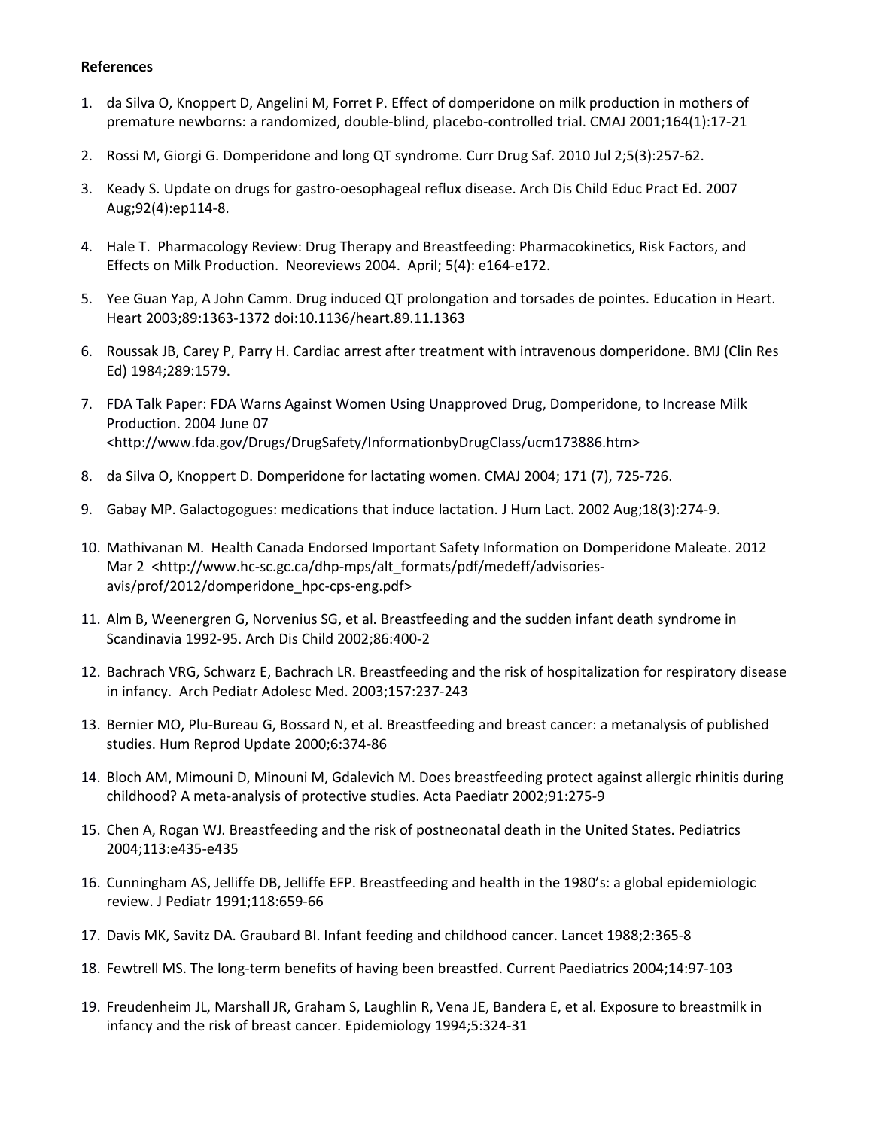## **References**

- 1. da Silva O, Knoppert D, Angelini M, Forret P. Effect of domperidone on milk production in mothers of premature newborns: a randomized, double-blind, placebo-controlled trial. CMAJ 2001;164(1):17-21
- 2. Rossi M, Giorgi G. Domperidone and long QT syndrome. Curr Drug Saf. 2010 Jul 2;5(3):257-62.
- 3. Keady S. Update on drugs for gastro-oesophageal reflux disease. Arch Dis Child Educ Pract Ed. 2007 Aug;92(4):ep114-8.
- 4. Hale T. Pharmacology Review: Drug Therapy and Breastfeeding: Pharmacokinetics, Risk Factors, and Effects on Milk Production. Neoreviews 2004. April; 5(4): e164-e172.
- 5. Yee Guan Yap, A John Camm. Drug induced QT prolongation and torsades de pointes. Education in Heart. Heart 2003;89:1363-1372 doi:10.1136/heart.89.11.1363
- 6. Roussak JB, Carey P, Parry H. Cardiac arrest after treatment with intravenous domperidone. BMJ (Clin Res Ed) 1984;289:1579.
- 7. FDA Talk Paper: FDA Warns Against Women Using Unapproved Drug, Domperidone, to Increase Milk Production. 2004 June 07 <http://www.fda.gov/Drugs/DrugSafety/InformationbyDrugClass/ucm173886.htm>
- 8. da Silva O, Knoppert D. Domperidone for lactating women. CMAJ 2004; 171 (7), 725-726.
- 9. Gabay MP. Galactogogues: medications that induce lactation. J Hum Lact. 2002 Aug;18(3):274-9.
- 10. Mathivanan M. Health Canada Endorsed Important Safety Information on Domperidone Maleate. 2012 Mar 2 <http://www.hc-sc.gc.ca/dhp-mps/alt\_formats/pdf/medeff/advisoriesavis/prof/2012/domperidone\_hpc-cps-eng.pdf>
- 11. Alm B, Weenergren G, Norvenius SG, et al. Breastfeeding and the sudden infant death syndrome in Scandinavia 1992-95. Arch Dis Child 2002;86:400-2
- 12. Bachrach VRG, Schwarz E, Bachrach LR. Breastfeeding and the risk of hospitalization for respiratory disease in infancy. Arch Pediatr Adolesc Med. 2003;157:237-243
- 13. Bernier MO, Plu-Bureau G, Bossard N, et al. Breastfeeding and breast cancer: a metanalysis of published studies. Hum Reprod Update 2000;6:374-86
- 14. Bloch AM, Mimouni D, Minouni M, Gdalevich M. Does breastfeeding protect against allergic rhinitis during childhood? A meta-analysis of protective studies. Acta Paediatr 2002;91:275-9
- 15. Chen A, Rogan WJ. Breastfeeding and the risk of postneonatal death in the United States. Pediatrics 2004;113:e435-e435
- 16. Cunningham AS, Jelliffe DB, Jelliffe EFP. Breastfeeding and health in the 1980's: a global epidemiologic review. J Pediatr 1991;118:659-66
- 17. Davis MK, Savitz DA. Graubard BI. Infant feeding and childhood cancer. Lancet 1988;2:365-8
- 18. Fewtrell MS. The long-term benefits of having been breastfed. Current Paediatrics 2004;14:97-103
- 19. Freudenheim JL, Marshall JR, Graham S, Laughlin R, Vena JE, Bandera E, et al. Exposure to breastmilk in infancy and the risk of breast cancer. Epidemiology 1994;5:324-31